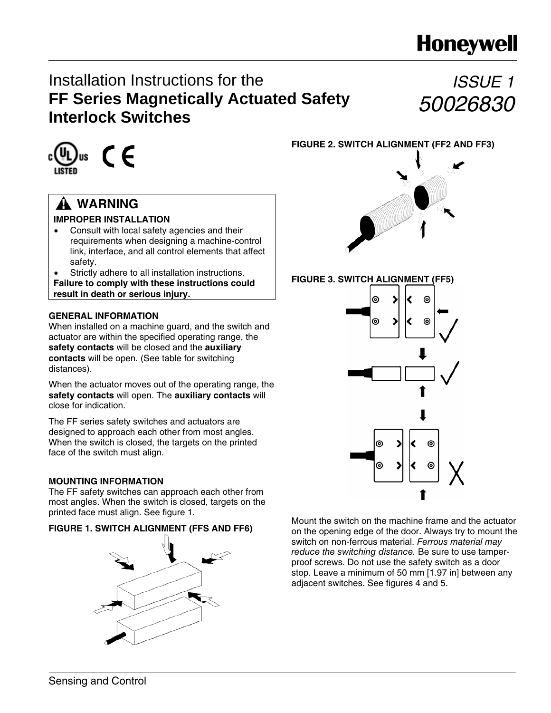# **Honeywell**

## Installation Instructions for the **FF Series Magnetically Actuated Safety Interlock Switches**

# *ISSUE 1 50026830*



## **WARNING**

## **IMPROPER INSTALLATION**

• Consult with local safety agencies and their requirements when designing a machine-control link, interface, and all control elements that affect safety.

Strictly adhere to all installation instructions. **Failure to comply with these instructions could result in death or serious injury.** 

### **GENERAL INFORMATION**

When installed on a machine guard, and the switch and actuator are within the specified operating range, the **safety contacts** will be closed and the **auxiliary contacts** will be open. (See table for switching distances).

When the actuator moves out of the operating range, the **safety contacts** will open. The **auxiliary contacts** will close for indication.

The FF series safety switches and actuators are designed to approach each other from most angles. When the switch is closed, the targets on the printed face of the switch must align.

## **MOUNTING INFORMATION**

The FF safety switches can approach each other from most angles. When the switch is closed, targets on the printed face must align. See figure 1.

## **FIGURE 1. SWITCH ALIGNMENT (FFS AND FF6)**



**FIGURE 2. SWITCH ALIGNMENT (FF2 AND FF3)**



**FIGURE 3. SWITCH ALIGNMENT (FF5)**



Mount the switch on the machine frame and the actuator on the opening edge of the door. Always try to mount the switch on non-ferrous material. Ferrous material may reduce the switching distance. Be sure to use tamperproof screws. Do not use the safety switch as a door stop. Leave a minimum of 50 mm [1.97 in] between any adjacent switches. See figures 4 and 5.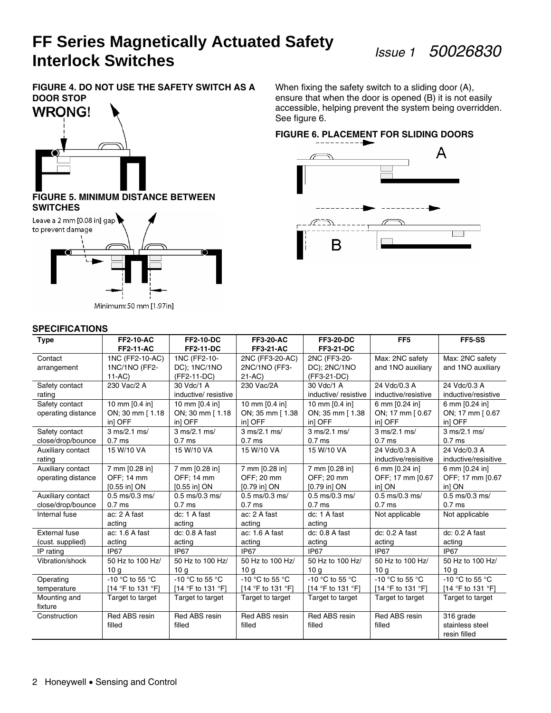**FIGURE 4. DO NOT USE THE SAFETY SWITCH AS A DOOR STOP** 



#### **FIGURE 5. MINIMUM DISTANCE BETWEEN SWITCHES**



Minimum: 50 mm [1.97in]

#### **SPECIFICATIONS**

When fixing the safety switch to a sliding door (A), ensure that when the door is opened (B) it is not easily accessible, helping prevent the system being overridden. See figure 6.

## **FIGURE 6. PLACEMENT FOR SLIDING DOORS**



| <b>FF2-11-AC</b><br><b>FF2-11-DC</b><br><b>FF3-21-AC</b><br><b>FF3-21-DC</b><br>1NC (FF2-10-<br>Max: 2NC safety<br>1NC (FF2-10-AC)<br>2NC (FF3-20-AC)<br>2NC (FF3-20-<br>Max: 2NC safety<br>Contact<br>DC); 1NC/1NO<br>DC); 2NC/1NO<br>and 1NO auxiliary<br>1NC/1NO (FF2-<br>2NC/1NO (FF3-<br>and 1NO auxiliary<br>arrangement<br>$21-AC$<br>$11 - AC$ )<br>(FF2-11-DC)<br>(FF3-21-DC)<br>24 Vdc/0.3 A<br>230 Vac/2 A<br>24 Vdc/0.3 A<br>Safety contact<br>30 Vdc/1 A<br>230 Vac/2A<br>30 Vdc/1 A<br>inductive/ resistive<br>inductive/ resistive<br>inductive/resistive<br>inductive/resistive<br>rating<br>10 mm [0.4 in]<br>10 mm [0.4 in]<br>Safety contact<br>10 mm [0.4 in]<br>10 mm [0.4 in]<br>6 mm [0.24 in]<br>6 mm [0.24 in]<br>ON; 30 mm [1.18<br>ON; 30 mm [1.18<br>ON; 35 mm [1.38<br>ON; 35 mm [1.38<br>ON; 17 mm [0.67<br>ON; 17 mm [0.67<br>operating distance<br>in] OFF<br>in] OFF<br>in] OFF<br>in] OFF<br>in] OFF<br>in] OFF<br>3 ms/2.1 ms/<br>3 ms/2.1 ms/<br>3 ms/2.1 ms/<br>3 ms/2.1 ms/<br>3 ms/2.1 ms/<br>3 ms/2.1 ms/<br>Safety contact<br>close/drop/bounce<br>0.7 <sub>ms</sub><br>0.7 <sub>ms</sub><br>0.7 <sub>ms</sub><br>0.7 <sub>ms</sub><br>0.7 <sub>ms</sub><br>0.7 <sub>ms</sub><br>24 Vdc/0.3 A<br>15 W/10 VA<br>24 Vdc/0.3 A<br>15 W/10 VA<br>15 W/10 VA<br>15 W/10 VA<br>Auxiliary contact<br>inductive/resisitive<br>inductive/resisitive<br>rating<br>Auxiliary contact<br>7 mm [0.28 in]<br>7 mm [0.28 in]<br>7 mm [0.28 in]<br>7 mm [0.28 in]<br>6 mm [0.24 in]<br>6 mm [0.24 in]<br>OFF; 20 mm<br>OFF; 20 mm<br>OFF; 17 mm [0.67<br>OFF: 14 mm<br>OFF; 14 mm<br>OFF; 17 mm [0.67<br>operating distance<br>in] ON<br>in] ON<br>[0.55 in] ON<br>$[0.55$ in] ON<br>$[0.79$ in $]$ ON<br>$[0.79$ in $]$ ON |
|------------------------------------------------------------------------------------------------------------------------------------------------------------------------------------------------------------------------------------------------------------------------------------------------------------------------------------------------------------------------------------------------------------------------------------------------------------------------------------------------------------------------------------------------------------------------------------------------------------------------------------------------------------------------------------------------------------------------------------------------------------------------------------------------------------------------------------------------------------------------------------------------------------------------------------------------------------------------------------------------------------------------------------------------------------------------------------------------------------------------------------------------------------------------------------------------------------------------------------------------------------------------------------------------------------------------------------------------------------------------------------------------------------------------------------------------------------------------------------------------------------------------------------------------------------------------------------------------------------------------------------------------------------------------------------------------------------------------------------------------------|
|                                                                                                                                                                                                                                                                                                                                                                                                                                                                                                                                                                                                                                                                                                                                                                                                                                                                                                                                                                                                                                                                                                                                                                                                                                                                                                                                                                                                                                                                                                                                                                                                                                                                                                                                                      |
|                                                                                                                                                                                                                                                                                                                                                                                                                                                                                                                                                                                                                                                                                                                                                                                                                                                                                                                                                                                                                                                                                                                                                                                                                                                                                                                                                                                                                                                                                                                                                                                                                                                                                                                                                      |
|                                                                                                                                                                                                                                                                                                                                                                                                                                                                                                                                                                                                                                                                                                                                                                                                                                                                                                                                                                                                                                                                                                                                                                                                                                                                                                                                                                                                                                                                                                                                                                                                                                                                                                                                                      |
|                                                                                                                                                                                                                                                                                                                                                                                                                                                                                                                                                                                                                                                                                                                                                                                                                                                                                                                                                                                                                                                                                                                                                                                                                                                                                                                                                                                                                                                                                                                                                                                                                                                                                                                                                      |
|                                                                                                                                                                                                                                                                                                                                                                                                                                                                                                                                                                                                                                                                                                                                                                                                                                                                                                                                                                                                                                                                                                                                                                                                                                                                                                                                                                                                                                                                                                                                                                                                                                                                                                                                                      |
|                                                                                                                                                                                                                                                                                                                                                                                                                                                                                                                                                                                                                                                                                                                                                                                                                                                                                                                                                                                                                                                                                                                                                                                                                                                                                                                                                                                                                                                                                                                                                                                                                                                                                                                                                      |
|                                                                                                                                                                                                                                                                                                                                                                                                                                                                                                                                                                                                                                                                                                                                                                                                                                                                                                                                                                                                                                                                                                                                                                                                                                                                                                                                                                                                                                                                                                                                                                                                                                                                                                                                                      |
|                                                                                                                                                                                                                                                                                                                                                                                                                                                                                                                                                                                                                                                                                                                                                                                                                                                                                                                                                                                                                                                                                                                                                                                                                                                                                                                                                                                                                                                                                                                                                                                                                                                                                                                                                      |
|                                                                                                                                                                                                                                                                                                                                                                                                                                                                                                                                                                                                                                                                                                                                                                                                                                                                                                                                                                                                                                                                                                                                                                                                                                                                                                                                                                                                                                                                                                                                                                                                                                                                                                                                                      |
|                                                                                                                                                                                                                                                                                                                                                                                                                                                                                                                                                                                                                                                                                                                                                                                                                                                                                                                                                                                                                                                                                                                                                                                                                                                                                                                                                                                                                                                                                                                                                                                                                                                                                                                                                      |
|                                                                                                                                                                                                                                                                                                                                                                                                                                                                                                                                                                                                                                                                                                                                                                                                                                                                                                                                                                                                                                                                                                                                                                                                                                                                                                                                                                                                                                                                                                                                                                                                                                                                                                                                                      |
|                                                                                                                                                                                                                                                                                                                                                                                                                                                                                                                                                                                                                                                                                                                                                                                                                                                                                                                                                                                                                                                                                                                                                                                                                                                                                                                                                                                                                                                                                                                                                                                                                                                                                                                                                      |
|                                                                                                                                                                                                                                                                                                                                                                                                                                                                                                                                                                                                                                                                                                                                                                                                                                                                                                                                                                                                                                                                                                                                                                                                                                                                                                                                                                                                                                                                                                                                                                                                                                                                                                                                                      |
|                                                                                                                                                                                                                                                                                                                                                                                                                                                                                                                                                                                                                                                                                                                                                                                                                                                                                                                                                                                                                                                                                                                                                                                                                                                                                                                                                                                                                                                                                                                                                                                                                                                                                                                                                      |
|                                                                                                                                                                                                                                                                                                                                                                                                                                                                                                                                                                                                                                                                                                                                                                                                                                                                                                                                                                                                                                                                                                                                                                                                                                                                                                                                                                                                                                                                                                                                                                                                                                                                                                                                                      |
|                                                                                                                                                                                                                                                                                                                                                                                                                                                                                                                                                                                                                                                                                                                                                                                                                                                                                                                                                                                                                                                                                                                                                                                                                                                                                                                                                                                                                                                                                                                                                                                                                                                                                                                                                      |
| 0.5 ms/0.3 ms/<br>0.5 ms/0.3 ms/<br>Auxiliary contact<br>$0.5$ ms/ $0.3$ ms/<br>$0.5$ ms/0.3 ms/<br>$0.5$ ms/0.3 ms/<br>$0.5$ ms/0.3 ms/                                                                                                                                                                                                                                                                                                                                                                                                                                                                                                                                                                                                                                                                                                                                                                                                                                                                                                                                                                                                                                                                                                                                                                                                                                                                                                                                                                                                                                                                                                                                                                                                             |
| close/drop/bounce<br>0.7 <sub>ms</sub><br>0.7 <sub>ms</sub><br>0.7 <sub>ms</sub><br>0.7 <sub>ms</sub><br>0.7 <sub>ms</sub><br>0.7 <sub>ms</sub>                                                                                                                                                                                                                                                                                                                                                                                                                                                                                                                                                                                                                                                                                                                                                                                                                                                                                                                                                                                                                                                                                                                                                                                                                                                                                                                                                                                                                                                                                                                                                                                                      |
| dc: 1 A fast<br>Not applicable<br>Not applicable<br>ac: 2 A fast<br>ac: 2 A fast<br>dc: 1 A fast<br>Internal fuse                                                                                                                                                                                                                                                                                                                                                                                                                                                                                                                                                                                                                                                                                                                                                                                                                                                                                                                                                                                                                                                                                                                                                                                                                                                                                                                                                                                                                                                                                                                                                                                                                                    |
| acting<br>acting<br>acting<br>acting                                                                                                                                                                                                                                                                                                                                                                                                                                                                                                                                                                                                                                                                                                                                                                                                                                                                                                                                                                                                                                                                                                                                                                                                                                                                                                                                                                                                                                                                                                                                                                                                                                                                                                                 |
| External fuse<br>dc: 0.8 A fast<br>dc: 0.2 A fast<br>ac: 1.6 A fast<br>ac: 1.6 A fast<br>dc: 0.8 A fast<br>dc: 0.2 A fast                                                                                                                                                                                                                                                                                                                                                                                                                                                                                                                                                                                                                                                                                                                                                                                                                                                                                                                                                                                                                                                                                                                                                                                                                                                                                                                                                                                                                                                                                                                                                                                                                            |
| acting<br>acting<br>(cust. supplied)<br>acting<br>acting<br>acting<br>acting                                                                                                                                                                                                                                                                                                                                                                                                                                                                                                                                                                                                                                                                                                                                                                                                                                                                                                                                                                                                                                                                                                                                                                                                                                                                                                                                                                                                                                                                                                                                                                                                                                                                         |
| IP <sub>67</sub><br>IP <sub>67</sub><br>IP67<br>IP67<br>IP67<br>IP67<br>IP rating                                                                                                                                                                                                                                                                                                                                                                                                                                                                                                                                                                                                                                                                                                                                                                                                                                                                                                                                                                                                                                                                                                                                                                                                                                                                                                                                                                                                                                                                                                                                                                                                                                                                    |
| Vibration/shock<br>50 Hz to 100 Hz/<br>50 Hz to 100 Hz/<br>50 Hz to 100 Hz/<br>50 Hz to 100 Hz/<br>50 Hz to 100 Hz/<br>50 Hz to 100 Hz/                                                                                                                                                                                                                                                                                                                                                                                                                                                                                                                                                                                                                                                                                                                                                                                                                                                                                                                                                                                                                                                                                                                                                                                                                                                                                                                                                                                                                                                                                                                                                                                                              |
| 10 <sub>a</sub><br>10 <sub>q</sub><br>10 <sub>q</sub><br>10 <sub>q</sub><br>10 <sub>g</sub><br>10 <sub>q</sub>                                                                                                                                                                                                                                                                                                                                                                                                                                                                                                                                                                                                                                                                                                                                                                                                                                                                                                                                                                                                                                                                                                                                                                                                                                                                                                                                                                                                                                                                                                                                                                                                                                       |
| -10 °C to 55 °C<br>-10 °C to 55 °C<br>-10 $\degree$ C to 55 $\degree$ C<br>-10 $\degree$ C to 55 $\degree$ C<br>-10 °C to 55 °C<br>-10 °C to 55 °C<br>Operating                                                                                                                                                                                                                                                                                                                                                                                                                                                                                                                                                                                                                                                                                                                                                                                                                                                                                                                                                                                                                                                                                                                                                                                                                                                                                                                                                                                                                                                                                                                                                                                      |
| [14 °F to 131 °F]<br>[14 °F to 131 °F]<br>[14 °F to 131 °F]<br>[14 °F to 131 °F]<br>[14 °F to 131 °F]<br>[14 °F to 131 °F]<br>temperature                                                                                                                                                                                                                                                                                                                                                                                                                                                                                                                                                                                                                                                                                                                                                                                                                                                                                                                                                                                                                                                                                                                                                                                                                                                                                                                                                                                                                                                                                                                                                                                                            |
| Mounting and<br>Target to target<br>Target to target<br>Target to target<br>Target to target<br>Target to target<br>Target to target                                                                                                                                                                                                                                                                                                                                                                                                                                                                                                                                                                                                                                                                                                                                                                                                                                                                                                                                                                                                                                                                                                                                                                                                                                                                                                                                                                                                                                                                                                                                                                                                                 |
| fixture                                                                                                                                                                                                                                                                                                                                                                                                                                                                                                                                                                                                                                                                                                                                                                                                                                                                                                                                                                                                                                                                                                                                                                                                                                                                                                                                                                                                                                                                                                                                                                                                                                                                                                                                              |
| Red ABS resin<br>Red ABS resin<br>Red ABS resin<br>Red ABS resin<br>Red ABS resin<br>316 grade<br>Construction                                                                                                                                                                                                                                                                                                                                                                                                                                                                                                                                                                                                                                                                                                                                                                                                                                                                                                                                                                                                                                                                                                                                                                                                                                                                                                                                                                                                                                                                                                                                                                                                                                       |
| stainless steel<br>filled<br>filled<br>filled<br>filled<br>filled                                                                                                                                                                                                                                                                                                                                                                                                                                                                                                                                                                                                                                                                                                                                                                                                                                                                                                                                                                                                                                                                                                                                                                                                                                                                                                                                                                                                                                                                                                                                                                                                                                                                                    |
| resin filled                                                                                                                                                                                                                                                                                                                                                                                                                                                                                                                                                                                                                                                                                                                                                                                                                                                                                                                                                                                                                                                                                                                                                                                                                                                                                                                                                                                                                                                                                                                                                                                                                                                                                                                                         |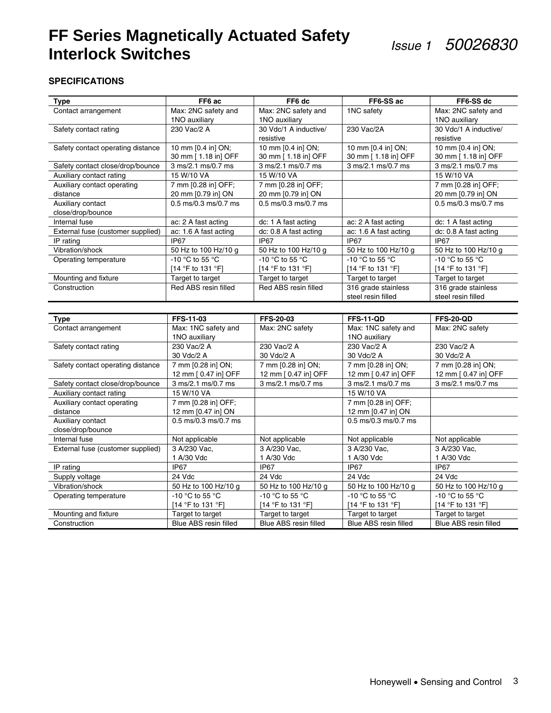### **SPECIFICATIONS**

| <b>Type</b>                          | FF6 ac                                    | FF6 dc                                    | FF6-SS ac                                 | FF6-SS dc                                 |
|--------------------------------------|-------------------------------------------|-------------------------------------------|-------------------------------------------|-------------------------------------------|
| Contact arrangement                  | Max: 2NC safety and                       | Max: 2NC safety and                       | 1NC safety                                | Max: 2NC safety and                       |
|                                      | 1NO auxiliary                             | 1NO auxiliary                             |                                           | 1NO auxiliary                             |
| Safety contact rating                | 230 Vac/2 A                               | 30 Vdc/1 A inductive/                     | 230 Vac/2A                                | 30 Vdc/1 A inductive/                     |
|                                      |                                           | resistive                                 |                                           | resistive                                 |
| Safety contact operating distance    | 10 mm [0.4 in] ON;                        | 10 mm [0.4 in] ON;                        | 10 mm [0.4 in] ON;                        | 10 mm [0.4 in] ON;                        |
|                                      | 30 mm [ 1.18 in] OFF                      | 30 mm [ 1.18 in] OFF                      | 30 mm [ 1.18 in] OFF                      | 30 mm [ 1.18 in] OFF                      |
| Safety contact close/drop/bounce     | 3 ms/2.1 ms/0.7 ms                        | 3 ms/2.1 ms/0.7 ms                        | 3 ms/2.1 ms/0.7 ms                        | 3 ms/2.1 ms/0.7 ms                        |
| Auxiliary contact rating             | 15 W/10 VA                                | 15 W/10 VA                                |                                           | 15 W/10 VA                                |
| Auxiliary contact operating          | 7 mm [0.28 in] OFF;                       | 7 mm [0.28 in] OFF;                       |                                           | 7 mm [0.28 in] OFF;                       |
| distance                             | 20 mm [0.79 in] ON                        | 20 mm [0.79 in] ON                        |                                           | 20 mm [0.79 in] ON                        |
| Auxiliary contact                    | 0.5 ms/0.3 ms/0.7 ms                      | 0.5 ms/0.3 ms/0.7 ms                      |                                           | 0.5 ms/0.3 ms/0.7 ms                      |
| close/drop/bounce                    |                                           |                                           |                                           |                                           |
| Internal fuse                        | ac: 2 A fast acting                       | dc: 1 A fast acting                       | ac: 2 A fast acting                       | dc: 1 A fast acting                       |
| External fuse (customer supplied)    | ac: 1.6 A fast acting                     | dc: 0.8 A fast acting                     | ac: 1.6 A fast acting                     | dc: 0.8 A fast acting                     |
| $IP$ rating                          | IP67                                      | IP67                                      | IP67                                      | <b>IP67</b>                               |
| Vibration/shock                      | 50 Hz to 100 Hz/10 g                      | 50 Hz to 100 Hz/10 g                      | 50 Hz to 100 Hz/10 g                      | 50 Hz to 100 Hz/10 g                      |
| Operating temperature                | -10 °C to 55 °C                           | $-10 °C$ to 55 °C                         | -10 °C to 55 °C                           | -10 °C to 55 °C                           |
|                                      | [14 °F to 131 °F]                         | [14 °F to 131 °F]                         | [14 °F to 131 °F]                         | [14 °F to 131 °F]                         |
| Mounting and fixture                 | Target to target                          | Target to target                          | Target to target                          | Target to target                          |
| Construction                         | Red ABS resin filled                      | Red ABS resin filled                      | 316 grade stainless                       | 316 grade stainless                       |
|                                      |                                           |                                           | steel resin filled                        | steel resin filled                        |
|                                      |                                           |                                           |                                           |                                           |
| <b>Type</b>                          | FFS-11-03                                 | <b>FFS-20-03</b>                          | <b>FFS-11-QD</b>                          | <b>FFS-20-QD</b>                          |
| Contact arrangement                  | Max: 1NC safety and                       | Max: 2NC safety                           | Max: 1NC safety and                       | Max: 2NC safety                           |
|                                      | 1NO auxiliary                             |                                           | 1NO auxiliary                             |                                           |
| Safety contact rating                | 230 Vac/2 A                               | 230 Vac/2 A                               | 230 Vac/2 A                               | 230 Vac/2 A                               |
|                                      | 30 Vdc/2 A                                |                                           |                                           |                                           |
|                                      |                                           | 30 Vdc/2 A                                | 30 Vdc/2 A                                | 30 Vdc/2 A                                |
| Safety contact operating distance    | 7 mm [0.28 in] ON;                        | 7 mm [0.28 in] ON;                        | 7 mm [0.28 in] ON;                        | 7 mm [0.28 in] ON;                        |
|                                      | 12 mm [ 0.47 in] OFF                      | 12 mm [ 0.47 in] OFF                      | 12 mm [ 0.47 in] OFF                      | 12 mm [ 0.47 in] OFF                      |
| Safety contact close/drop/bounce     | 3 ms/2.1 ms/0.7 ms                        | 3 ms/2.1 ms/0.7 ms                        | 3 ms/2.1 ms/0.7 ms                        | 3 ms/2.1 ms/0.7 ms                        |
| Auxiliary contact rating             | 15 W/10 VA                                |                                           | 15 W/10 VA                                |                                           |
| Auxiliary contact operating          | 7 mm [0.28 in] OFF;                       |                                           | 7 mm [0.28 in] OFF;                       |                                           |
| distance                             | 12 mm [0.47 in] ON                        |                                           | 12 mm [0.47 in] ON                        |                                           |
| Auxiliary contact                    | 0.5 ms/0.3 ms/0.7 ms                      |                                           | 0.5 ms/0.3 ms/0.7 ms                      |                                           |
| close/drop/bounce                    |                                           |                                           |                                           |                                           |
| Internal fuse                        | Not applicable                            | Not applicable                            | Not applicable                            | Not applicable                            |
| External fuse (customer supplied)    | 3 A/230 Vac,                              | 3 A/230 Vac,                              | 3 A/230 Vac,                              | 3 A/230 Vac,                              |
|                                      | 1 A/30 Vdc                                | 1 A/30 Vdc                                | 1 A/30 Vdc                                | 1 A/30 Vdc                                |
| IP rating                            | IP67                                      | IP67                                      | IP67                                      | IP67                                      |
| Supply voltage                       | 24 Vdc                                    | 24 Vdc                                    | 24 Vdc                                    | 24 Vdc                                    |
| Vibration/shock                      | 50 Hz to 100 Hz/10 g                      | 50 Hz to 100 Hz/10 g                      | 50 Hz to 100 Hz/10 g                      | 50 Hz to 100 Hz/10 g                      |
| Operating temperature                | -10 °C to 55 °C                           | -10 °C to 55 °C                           | -10 °C to 55 °C                           | -10 °C to 55 °C                           |
|                                      | [14 °F to 131 °F]                         | [14 °F to 131 °F]                         | [14 °F to 131 °F]                         | [14 °F to 131 °F]                         |
| Mounting and fixture<br>Construction | Target to target<br>Blue ABS resin filled | Target to target<br>Blue ABS resin filled | Target to target<br>Blue ABS resin filled | Target to target<br>Blue ABS resin filled |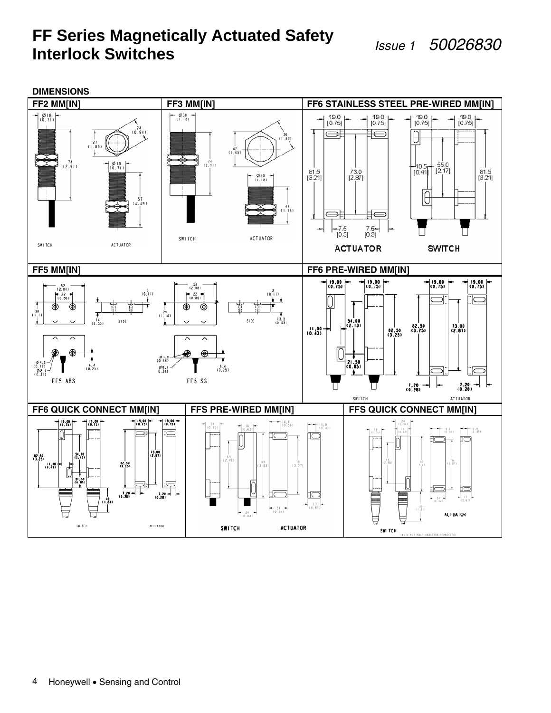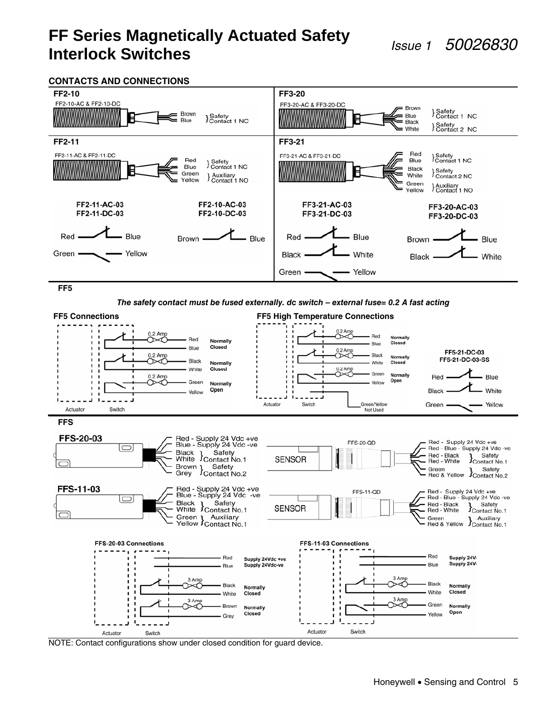#### **CONTACTS AND CONNECTIONS**



**FF5** 

**The safety contact must be fused externally. dc switch – external fuse= 0.2 A fast acting** 

![](_page_4_Figure_6.jpeg)

NOTE: Contact configurations show under closed condition for guard device.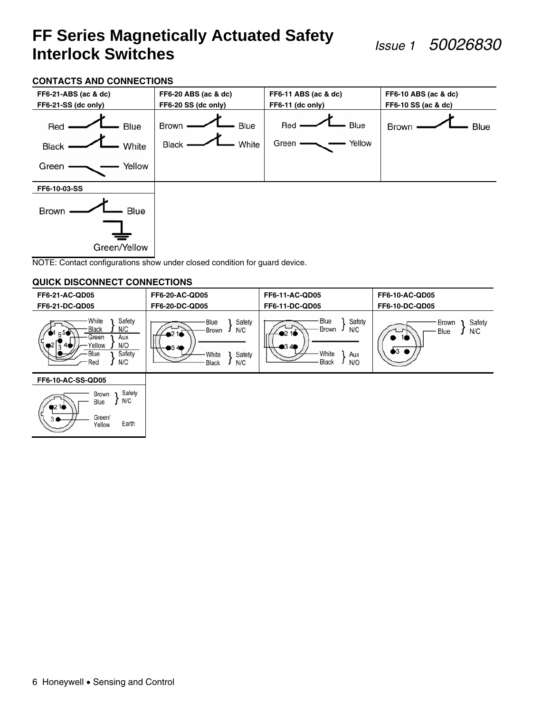#### **CONTACTS AND CONNECTIONS**

![](_page_5_Figure_3.jpeg)

#### **QUICK DISCONNECT CONNECTIONS**

Green/

Yellow

Earth

| <b>FF6-21-AC-QD05</b><br>FF6-21-DC-QD05                                                                            | <b>FF6-20-AC-QD05</b><br><b>FF6-20-DC-QD05</b>                                   | <b>FF6-11-AC-QD05</b><br><b>FF6-11-DC-QD05</b>                                                | <b>FF6-10-AC-QD05</b><br><b>FF6-10-DC-QD05</b> |
|--------------------------------------------------------------------------------------------------------------------|----------------------------------------------------------------------------------|-----------------------------------------------------------------------------------------------|------------------------------------------------|
| Safety<br>White<br>N/C<br>- Black<br>$6^{5}$<br>Green<br>Aux<br>N/O<br>Yellow<br>4<br>Safety<br>Blue<br>N/C<br>Red | Safety<br>·Blue<br>N/C<br>· Brown<br>$-0.349$<br>Safety<br>White<br>N/C<br>Black | Blue<br>Safety<br>Brown<br>N/C<br>D2 1O<br><b>0340</b><br>White<br>Aux<br><b>Black</b><br>N/O | Safety<br>Brown<br>N/C<br>Blue<br>16<br>)3 ●   |
| <b>FF6-10-AC-SS-QD05</b>                                                                                           |                                                                                  |                                                                                               |                                                |
| Safety<br>Brown<br>N/C<br>Blue<br>$-2.1$                                                                           |                                                                                  |                                                                                               |                                                |